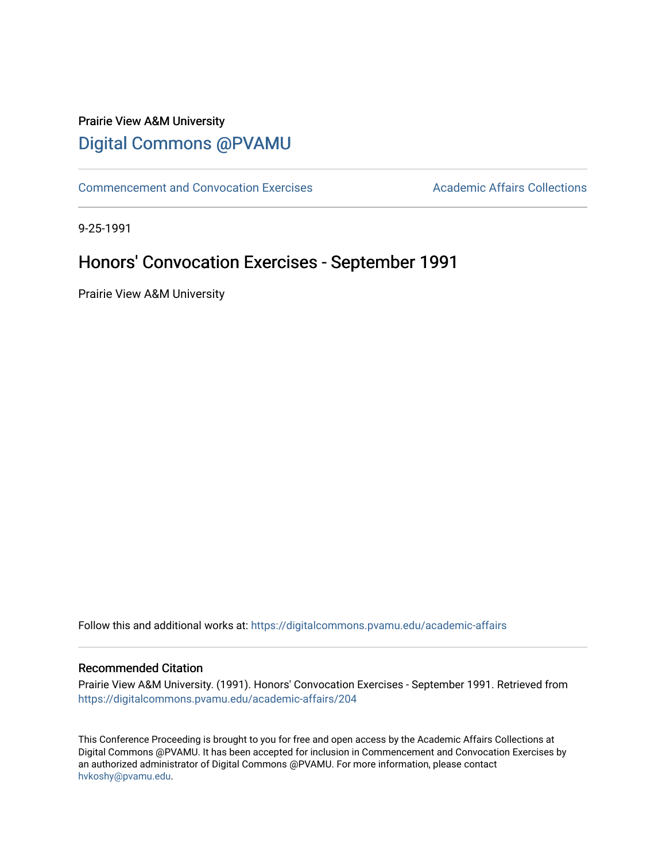## Prairie View A&M University [Digital Commons @PVAMU](https://digitalcommons.pvamu.edu/)

[Commencement and Convocation Exercises](https://digitalcommons.pvamu.edu/academic-affairs) **Academic Affairs Collections** 

9-25-1991

# Honors' Convocation Exercises - September 1991

Prairie View A&M University

Follow this and additional works at: [https://digitalcommons.pvamu.edu/academic-affairs](https://digitalcommons.pvamu.edu/academic-affairs?utm_source=digitalcommons.pvamu.edu%2Facademic-affairs%2F204&utm_medium=PDF&utm_campaign=PDFCoverPages)

#### Recommended Citation

Prairie View A&M University. (1991). Honors' Convocation Exercises - September 1991. Retrieved from [https://digitalcommons.pvamu.edu/academic-affairs/204](https://digitalcommons.pvamu.edu/academic-affairs/204?utm_source=digitalcommons.pvamu.edu%2Facademic-affairs%2F204&utm_medium=PDF&utm_campaign=PDFCoverPages)

This Conference Proceeding is brought to you for free and open access by the Academic Affairs Collections at Digital Commons @PVAMU. It has been accepted for inclusion in Commencement and Convocation Exercises by an authorized administrator of Digital Commons @PVAMU. For more information, please contact [hvkoshy@pvamu.edu](mailto:hvkoshy@pvamu.edu).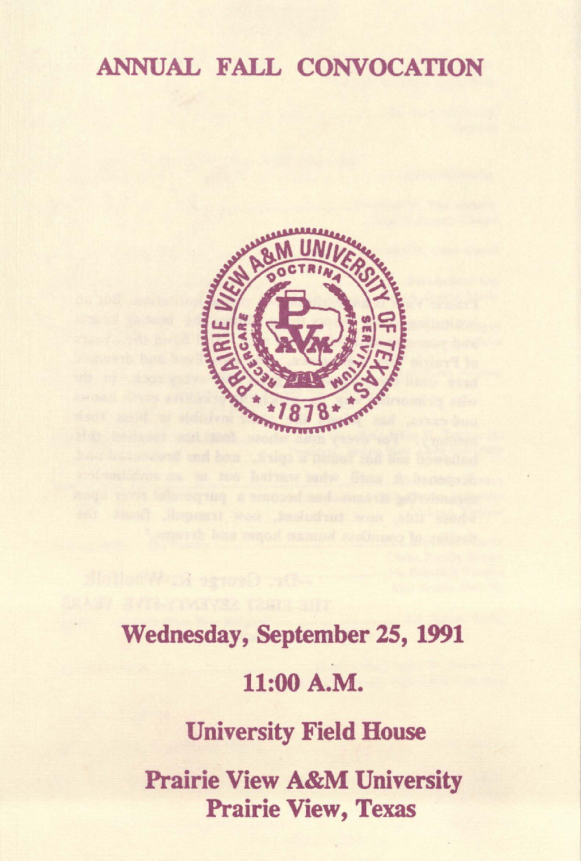## ANNUAL FALL CONVOCATION



Wednesday, September 25, 1991 11:00 **A.M.**  University Field House Prairie View A&M University Prairie View, Texas

Hollow for a seroco or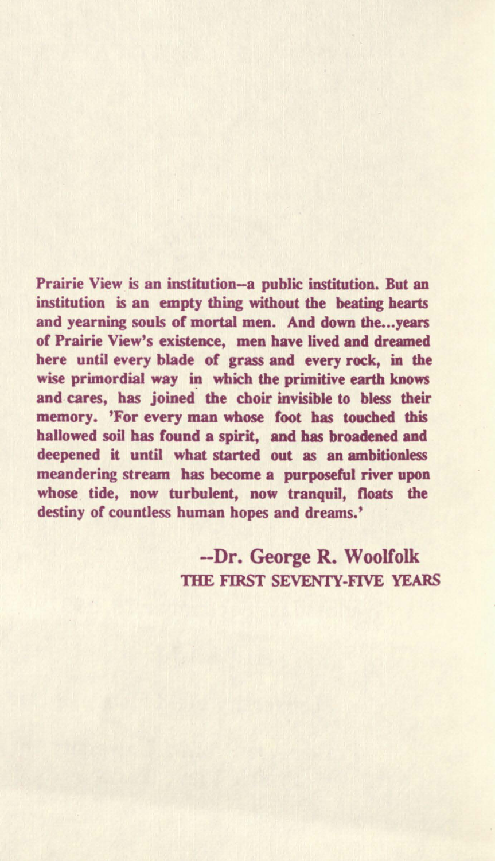Prairie View is an institution-a public institution. But an institution is an empty thing without the beating hearts and yearning souls of mortal men. And down the...vears of Prairie View's existence, men have lived and dreamed here until every blade of grass and every rock, in the wise primordial way in which the primitive earth knows and cares, has joined the choir invisible to bless their memory. 'For every man whose foot has touched this hallowed soil bas found a spirit, and has broadened and deepened it until what started out as an ambitionless meandering stream has become a purposeful river upon whose tide, now turbulent, now tranquil, floats the destiny of countless human hopes and dreams.'

> -Dr. George R. Woolfolk THE FIRST SEVENTY-FIVE YEARS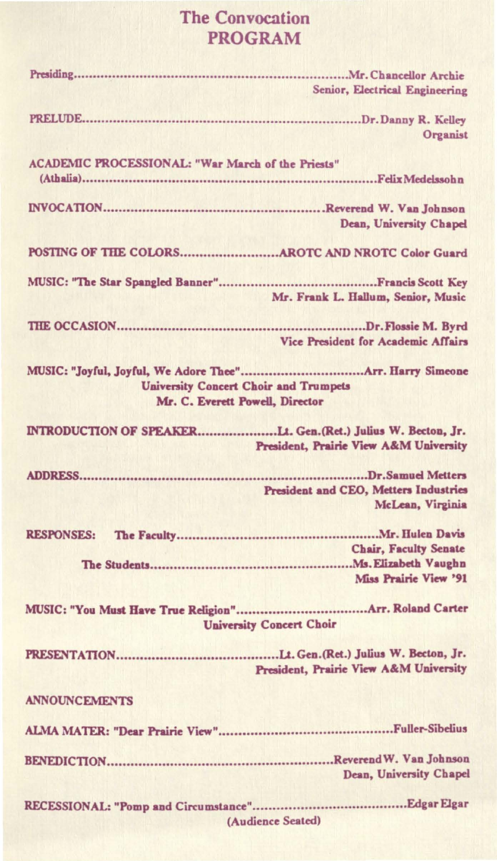#### The Convocation PROGRAM

|                                                                                 | Senior, Electrical Engineering                            |
|---------------------------------------------------------------------------------|-----------------------------------------------------------|
|                                                                                 | Organist                                                  |
| <b>ACADEMIC PROCESSIONAL: "War March of the Priests"</b>                        |                                                           |
|                                                                                 | <b>Dean, University Chapel</b>                            |
|                                                                                 |                                                           |
|                                                                                 | Mr. Frank L. Hallum, Senior, Music                        |
|                                                                                 | Vice President for Academic Affairs                       |
| <b>University Concert Choir and Trumpets</b><br>Mr. C. Everett Powell, Director |                                                           |
| INTRODUCTION OF SPEAKERLt. Gen. (Ret.) Julius W. Becton, Jr.                    | President, Prairie View A&M University                    |
|                                                                                 | President and CEO, Metters Industries<br>McLean, Virginia |
| <b>RESPONSES:</b>                                                               | <b>Chair, Faculty Senate</b><br>Miss Prairie View '91     |
| <b>University Concert Choir</b>                                                 |                                                           |
|                                                                                 | President, Prairie View A&M University                    |
| <b>ANNOUNCEMENTS</b>                                                            |                                                           |
|                                                                                 |                                                           |
|                                                                                 | Dean, University Chapel                                   |
|                                                                                 | (Audience Seated)                                         |